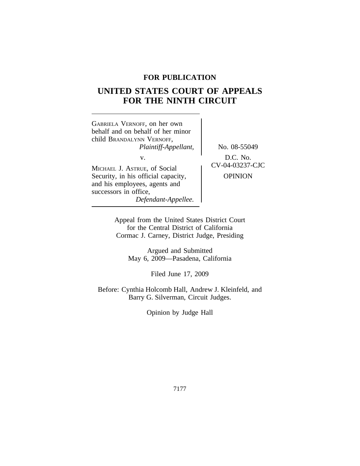# **FOR PUBLICATION**

# **UNITED STATES COURT OF APPEALS FOR THE NINTH CIRCUIT**



Appeal from the United States District Court for the Central District of California Cormac J. Carney, District Judge, Presiding

> Argued and Submitted May 6, 2009—Pasadena, California

> > Filed June 17, 2009

Before: Cynthia Holcomb Hall, Andrew J. Kleinfeld, and Barry G. Silverman, Circuit Judges.

Opinion by Judge Hall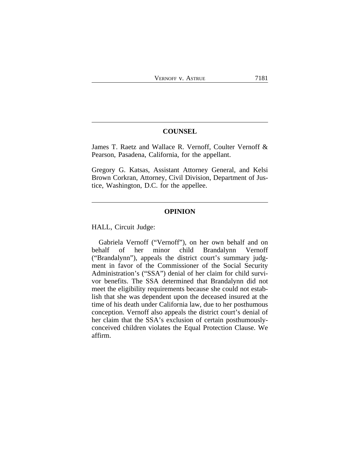### **COUNSEL**

James T. Raetz and Wallace R. Vernoff, Coulter Vernoff & Pearson, Pasadena, California, for the appellant.

Gregory G. Katsas, Assistant Attorney General, and Kelsi Brown Corkran, Attorney, Civil Division, Department of Justice, Washington, D.C. for the appellee.

## **OPINION**

HALL, Circuit Judge:

Gabriela Vernoff ("Vernoff"), on her own behalf and on behalf of her minor child Brandalynn Vernoff ("Brandalynn"), appeals the district court's summary judgment in favor of the Commissioner of the Social Security Administration's ("SSA") denial of her claim for child survivor benefits. The SSA determined that Brandalynn did not meet the eligibility requirements because she could not establish that she was dependent upon the deceased insured at the time of his death under California law, due to her posthumous conception. Vernoff also appeals the district court's denial of her claim that the SSA's exclusion of certain posthumouslyconceived children violates the Equal Protection Clause. We affirm.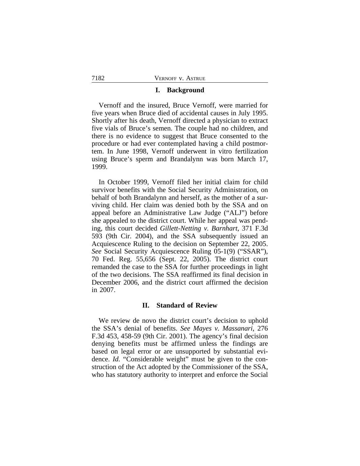## **I. Background**

Vernoff and the insured, Bruce Vernoff, were married for five years when Bruce died of accidental causes in July 1995. Shortly after his death, Vernoff directed a physician to extract five vials of Bruce's semen. The couple had no children, and there is no evidence to suggest that Bruce consented to the procedure or had ever contemplated having a child postmortem. In June 1998, Vernoff underwent in vitro fertilization using Bruce's sperm and Brandalynn was born March 17, 1999.

In October 1999, Vernoff filed her initial claim for child survivor benefits with the Social Security Administration, on behalf of both Brandalynn and herself, as the mother of a surviving child. Her claim was denied both by the SSA and on appeal before an Administrative Law Judge ("ALJ") before she appealed to the district court. While her appeal was pending, this court decided *Gillett-Netting v. Barnhart*, 371 F.3d 593 (9th Cir. 2004), and the SSA subsequently issued an Acquiescence Ruling to the decision on September 22, 2005. *See* Social Security Acquiescence Ruling 05-1(9) ("SSAR"), 70 Fed. Reg. 55,656 (Sept. 22, 2005). The district court remanded the case to the SSA for further proceedings in light of the two decisions. The SSA reaffirmed its final decision in December 2006, and the district court affirmed the decision in 2007.

## **II. Standard of Review**

We review de novo the district court's decision to uphold the SSA's denial of benefits. *See Mayes v. Massanari*, 276 F.3d 453, 458-59 (9th Cir. 2001). The agency's final decision denying benefits must be affirmed unless the findings are based on legal error or are unsupported by substantial evidence. *Id.* "Considerable weight" must be given to the construction of the Act adopted by the Commissioner of the SSA, who has statutory authority to interpret and enforce the Social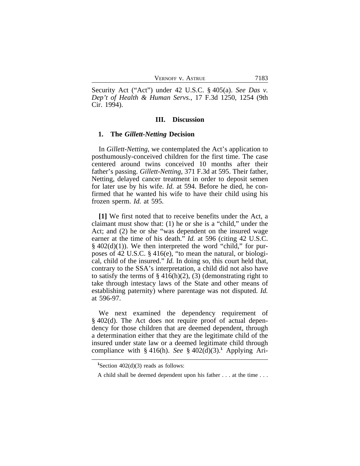| VERNOFF V. ASTRUE<br>7183 |
|---------------------------|
|---------------------------|

Security Act ("Act") under 42 U.S.C. § 405(a). *See Das v. Dep't of Health & Human Servs.*, 17 F.3d 1250, 1254 (9th Cir. 1994).

#### **III. Discussion**

#### **1. The** *Gillett-Netting* **Decision**

In *Gillett-Netting*, we contemplated the Act's application to posthumously-conceived children for the first time. The case centered around twins conceived 10 months after their father's passing. *Gillett-Netting*, 371 F.3d at 595. Their father, Netting, delayed cancer treatment in order to deposit semen for later use by his wife. *Id.* at 594. Before he died, he confirmed that he wanted his wife to have their child using his frozen sperm. *Id.* at 595.

**[1]** We first noted that to receive benefits under the Act, a claimant must show that: (1) he or she is a "child," under the Act; and (2) he or she "was dependent on the insured wage earner at the time of his death." *Id.* at 596 (citing 42 U.S.C.  $§$  402(d)(1)). We then interpreted the word "child," for purposes of 42 U.S.C. § 416(e), "to mean the natural, or biological, child of the insured." *Id.* In doing so, this court held that, contrary to the SSA's interpretation, a child did not also have to satisfy the terms of  $\S 416(h)(2)$ , (3) (demonstrating right to take through intestacy laws of the State and other means of establishing paternity) where parentage was not disputed. *Id.* at 596-97.

We next examined the dependency requirement of § 402(d). The Act does not require proof of actual dependency for those children that are deemed dependent, through a determination either that they are the legitimate child of the insured under state law or a deemed legitimate child through compliance with  $\S$  416(h). *See*  $\S$  402(d)(3).<sup>1</sup> Applying Ari-

<sup>&</sup>lt;sup>1</sup>Section  $402(d)(3)$  reads as follows:

A child shall be deemed dependent upon his father . . . at the time . . .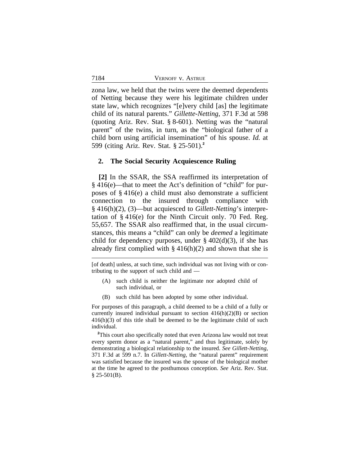zona law, we held that the twins were the deemed dependents of Netting because they were his legitimate children under state law, which recognizes "[e]very child [as] the legitimate child of its natural parents." *Gillette-Netting*, 371 F.3d at 598 (quoting Ariz. Rev. Stat. § 8-601). Netting was the "natural parent" of the twins, in turn, as the "biological father of a child born using artificial insemination" of his spouse. *Id.* at 599 (citing Ariz. Rev. Stat. § 25-501).**<sup>2</sup>**

#### **2. The Social Security Acquiescence Ruling**

**[2]** In the SSAR, the SSA reaffirmed its interpretation of § 416(e)—that to meet the Act's definition of "child" for purposes of § 416(e) a child must also demonstrate a sufficient connection to the insured through compliance with § 416(h)(2), (3)—but acquiesced to *Gillett-Netting*'s interpretation of § 416(e) for the Ninth Circuit only. 70 Fed. Reg. 55,657. The SSAR also reaffirmed that, in the usual circumstances, this means a "child" can only be *deemed* a legitimate child for dependency purposes, under  $\S$  402(d)(3), if she has already first complied with  $\S$  416(h)(2) and shown that she is

[of death] unless, at such time, such individual was not living with or contributing to the support of such child and —

- (A) such child is neither the legitimate nor adopted child of such individual, or
- (B) such child has been adopted by some other individual.

For purposes of this paragraph, a child deemed to be a child of a fully or currently insured individual pursuant to section  $416(h)(2)(B)$  or section  $416(h)(3)$  of this title shall be deemed to be the legitimate child of such individual.

**<sup>2</sup>**This court also specifically noted that even Arizona law would not treat every sperm donor as a "natural parent," and thus legitimate, solely by demonstrating a biological relationship to the insured. *See Gillett-Netting*, 371 F.3d at 599 n.7. In *Gillett-Netting*, the "natural parent" requirement was satisfied because the insured was the spouse of the biological mother at the time he agreed to the posthumous conception. *See* Ariz. Rev. Stat.  $§$  25-501(B).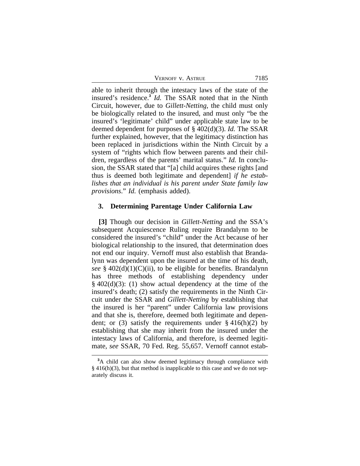able to inherit through the intestacy laws of the state of the insured's residence.**<sup>3</sup>** *Id.* The SSAR noted that in the Ninth Circuit, however, due to *Gillett-Netting*, the child must only be biologically related to the insured, and must only "be the insured's 'legitimate' child" under applicable state law to be deemed dependent for purposes of § 402(d)(3). *Id.* The SSAR further explained, however, that the legitimacy distinction has been replaced in jurisdictions within the Ninth Circuit by a system of "rights which flow between parents and their children, regardless of the parents' marital status." *Id.* In conclusion, the SSAR stated that "[a] child acquires these rights [and thus is deemed both legitimate and dependent] *if he establishes that an individual is his parent under State family law provisions*." *Id.* (emphasis added).

#### **3. Determining Parentage Under California Law**

**[3]** Though our decision in *Gillett-Netting* and the SSA's subsequent Acquiescence Ruling require Brandalynn to be considered the insured's "child" under the Act because of her biological relationship to the insured, that determination does not end our inquiry. Vernoff must also establish that Brandalynn was dependent upon the insured at the time of his death, *see* § 402(d)(1)(C)(ii), to be eligible for benefits. Brandalynn has three methods of establishing dependency under § 402(d)(3): (1) show actual dependency at the time of the insured's death; (2) satisfy the requirements in the Ninth Circuit under the SSAR and *Gillett-Netting* by establishing that the insured is her "parent" under California law provisions and that she is, therefore, deemed both legitimate and dependent; or (3) satisfy the requirements under  $\S 416(h)(2)$  by establishing that she may inherit from the insured under the intestacy laws of California, and therefore, is deemed legitimate, *see* SSAR, 70 Fed. Reg. 55,657. Vernoff cannot estab-

**<sup>3</sup>**A child can also show deemed legitimacy through compliance with § 416(h)(3), but that method is inapplicable to this case and we do not separately discuss it.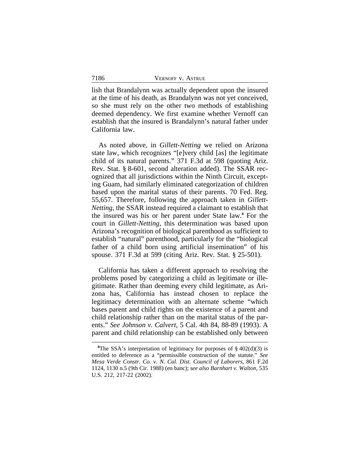lish that Brandalynn was actually dependent upon the insured at the time of his death, as Brandalynn was not yet conceived, so she must rely on the other two methods of establishing deemed dependency. We first examine whether Vernoff can establish that the insured is Brandalynn's natural father under California law.

As noted above, in *Gillett-Netting* we relied on Arizona state law, which recognizes "[e]very child [as] the legitimate child of its natural parents." 371 F.3d at 598 (quoting Ariz. Rev. Stat. § 8-601, second alteration added). The SSAR recognized that all jurisdictions within the Ninth Circuit, excepting Guam, had similarly eliminated categorization of children based upon the marital status of their parents. 70 Fed. Reg. 55,657. Therefore, following the approach taken in *Gillett-Netting*, the SSAR instead required a claimant to establish that the insured was his or her parent under State law.**<sup>4</sup>** For the court in *Gillett-Netting*, this determination was based upon Arizona's recognition of biological parenthood as sufficient to establish "natural" parenthood, particularly for the "biological father of a child born using artificial insemination" of his spouse. 371 F.3d at 599 (citing Ariz. Rev. Stat. § 25-501).

California has taken a different approach to resolving the problems posed by categorizing a child as legitimate or illegitimate. Rather than deeming every child legitimate, as Arizona has, California has instead chosen to replace the legitimacy determination with an alternate scheme "which bases parent and child rights on the existence of a parent and child relationship rather than on the marital status of the parents." *See Johnson v. Calvert*, 5 Cal. 4th 84, 88-89 (1993). A parent and child relationship can be established only between

<sup>&</sup>lt;sup>4</sup>The SSA's interpretation of legitimacy for purposes of  $\S$  402(d)(3) is entitled to deference as a "permissible construction of the statute." *See Mesa Verde Constr. Co. v. N. Cal. Dist. Council of Laborers*, 861 F.2d 1124, 1130 n.5 (9th Cir. 1988) (en banc); *see also Barnhart v. Walton*, 535 U.S. 212, 217-22 (2002).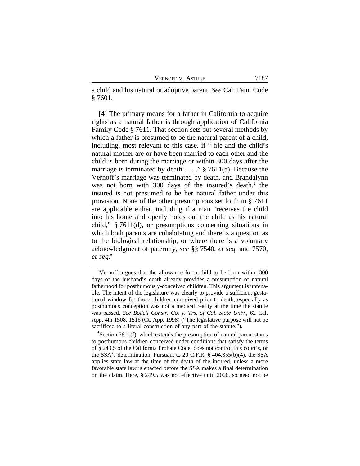a child and his natural or adoptive parent. *See* Cal. Fam. Code § 7601.

**[4]** The primary means for a father in California to acquire rights as a natural father is through application of California Family Code § 7611. That section sets out several methods by which a father is presumed to be the natural parent of a child, including, most relevant to this case, if "[h]e and the child's natural mother are or have been married to each other and the child is born during the marriage or within 300 days after the marriage is terminated by death . . . . " § 7611(a). Because the Vernoff's marriage was terminated by death, and Brandalynn was not born with 300 days of the insured's death,<sup>5</sup> the insured is not presumed to be her natural father under this provision. None of the other presumptions set forth in § 7611 are applicable either, including if a man "receives the child into his home and openly holds out the child as his natural child," § 7611(d), or presumptions concerning situations in which both parents are cohabitating and there is a question as to the biological relationship, or where there is a voluntary acknowledgment of paternity, *see* §§ 7540, *et seq.* and 7570, *et seq.***<sup>6</sup>**

**<sup>5</sup>**Vernoff argues that the allowance for a child to be born within 300 days of the husband's death already provides a presumption of natural fatherhood for posthumously-conceived children. This argument is untenable. The intent of the legislature was clearly to provide a sufficient gestational window for those children conceived prior to death, especially as posthumous conception was not a medical reality at the time the statute was passed. *See Bodell Constr. Co. v. Trs. of Cal. State Univ.*, 62 Cal. App. 4th 1508, 1516 (Ct. App. 1998) ("The legislative purpose will not be sacrificed to a literal construction of any part of the statute.").

**<sup>6</sup>**Section 7611(f), which extends the presumption of natural parent status to posthumous children conceived under conditions that satisfy the terms of § 249.5 of the California Probate Code, does not control this court's, or the SSA's determination. Pursuant to 20 C.F.R. § 404.355(b)(4), the SSA applies state law at the time of the death of the insured, unless a more favorable state law is enacted before the SSA makes a final determination on the claim. Here, § 249.5 was not effective until 2006, so need not be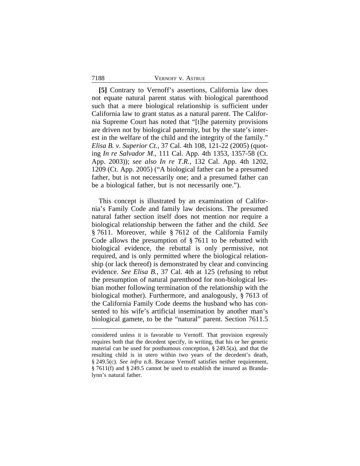**[5]** Contrary to Vernoff's assertions, California law does not equate natural parent status with biological parenthood such that a mere biological relationship is sufficient under California law to grant status as a natural parent. The California Supreme Court has noted that "[t]he paternity provisions are driven not by biological paternity, but by the state's interest in the welfare of the child and the integrity of the family." *Elisa B. v. Superior Ct.*, 37 Cal. 4th 108, 121-22 (2005) (quoting *In re Salvador M.*, 111 Cal. App. 4th 1353, 1357-58 (Ct. App. 2003)); *see also In re T.R.*, 132 Cal. App. 4th 1202, 1209 (Ct. App. 2005) ("A biological father can be a presumed father, but is not necessarily one; and a presumed father can be a biological father, but is not necessarily one.").

This concept is illustrated by an examination of California's Family Code and family law decisions. The presumed natural father section itself does not mention nor require a biological relationship between the father and the child. *See* § 7611. Moreover, while § 7612 of the California Family Code allows the presumption of § 7611 to be rebutted with biological evidence, the rebuttal is only permissive, not required, and is only permitted where the biological relationship (or lack thereof) is demonstrated by clear and convincing evidence. *See Elisa B.*, 37 Cal. 4th at 125 (refusing to rebut the presumption of natural parenthood for non-biological lesbian mother following termination of the relationship with the biological mother). Furthermore, and analogously, § 7613 of the California Family Code deems the husband who has consented to his wife's artificial insemination by another man's biological gamete, to be the "natural" parent. Section 7611.5

considered unless it is favorable to Vernoff. That provision expressly requires both that the decedent specify, in writing, that his or her genetic material can be used for posthumous conception, § 249.5(a), and that the resulting child is in utero within two years of the decedent's death, § 249.5(c). *See infra* n.8. Because Vernoff satisfies neither requirement, § 7611(f) and § 249.5 cannot be used to establish the insured as Brandalynn's natural father.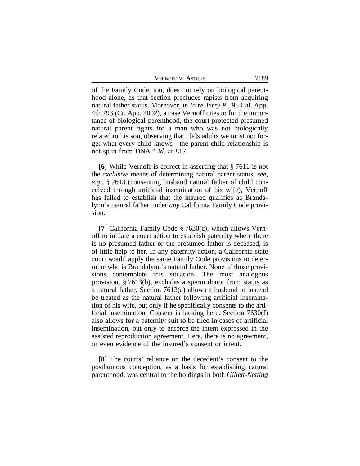| VERNOFF V. ASTRUE | 7189 |
|-------------------|------|
|-------------------|------|

of the Family Code, too, does not rely on biological parenthood alone, as that section precludes rapists from acquiring natural father status. Moreover, in *In re Jerry P.*, 95 Cal. App. 4th 793 (Ct. App. 2002), a case Vernoff cites to for the importance of biological parenthood, the court protected presumed natural parent rights for a man who was not biologically related to his son, observing that "[a]s adults we must not forget what every child knows—the parent-child relationship is not spun from DNA." *Id.* at 817.

**[6]** While Vernoff is correct in asserting that § 7611 is not the *exclusive* means of determining natural parent status, *see, e.g.*, § 7613 (consenting husband natural father of child conceived through artificial insemination of his wife), Vernoff has failed to establish that the insured qualifies as Brandalynn's natural father under *any* California Family Code provision.

**[7]** California Family Code § 7630(c), which allows Vernoff to initiate a court action to establish paternity where there is no presumed father or the presumed father is deceased, is of little help to her. In any paternity action, a California state court would apply the same Family Code provisions to determine who is Brandalynn's natural father. None of those provisions contemplate this situation. The most analogous provision, § 7613(b), excludes a sperm donor from status as a natural father. Section 7613(a) allows a husband to instead be treated as the natural father following artificial insemination of his wife, but only if he specifically consents to the artificial insemination. Consent is lacking here. Section 7630(f) also allows for a paternity suit to be filed in cases of artificial insemination, but only to enforce the intent expressed in the assisted reproduction agreement. Here, there is no agreement, or even evidence of the insured's consent or intent.

**[8]** The courts' reliance on the decedent's consent to the posthumous conception, as a basis for establishing natural parenthood, was central to the holdings in both *Gillett-Netting*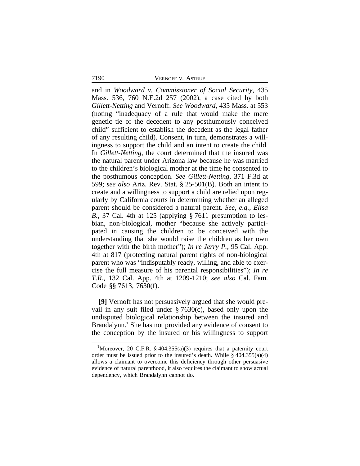and in *Woodward v. Commissioner of Social Security*, 435 Mass. 536, 760 N.E.2d 257 (2002), a case cited by both *Gillett-Netting* and Vernoff. *See Woodward*, 435 Mass. at 553 (noting "inadequacy of a rule that would make the mere genetic tie of the decedent to any posthumously conceived child" sufficient to establish the decedent as the legal father of any resulting child). Consent, in turn, demonstrates a willingness to support the child and an intent to create the child. In *Gillett-Netting*, the court determined that the insured was the natural parent under Arizona law because he was married to the children's biological mother at the time he consented to the posthumous conception. *See Gillett-Netting*, 371 F.3d at 599; *see also* Ariz. Rev. Stat. § 25-501(B). Both an intent to create and a willingness to support a child are relied upon regularly by California courts in determining whether an alleged parent should be considered a natural parent. *See, e.g.*, *Elisa B.*, 37 Cal. 4th at 125 (applying § 7611 presumption to lesbian, non-biological, mother "because she actively participated in causing the children to be conceived with the understanding that she would raise the children as her own together with the birth mother"); *In re Jerry P.*, 95 Cal. App. 4th at 817 (protecting natural parent rights of non-biological parent who was "indisputably ready, willing, and able to exercise the full measure of his parental responsibilities"); *In re T.R.*, 132 Cal. App. 4th at 1209-1210; *see also* Cal. Fam. Code §§ 7613, 7630(f).

**[9]** Vernoff has not persuasively argued that she would prevail in any suit filed under § 7630(c), based only upon the undisputed biological relationship between the insured and Brandalynn.**<sup>7</sup>** She has not provided any evidence of consent to the conception by the insured or his willingness to support

<sup>&</sup>lt;sup>7</sup>Moreover, 20 C.F.R.  $\S$  404.355(a)(3) requires that a paternity court order must be issued prior to the insured's death. While  $\S$  404.355(a)(4) allows a claimant to overcome this deficiency through other persuasive evidence of natural parenthood, it also requires the claimant to show actual dependency, which Brandalynn cannot do.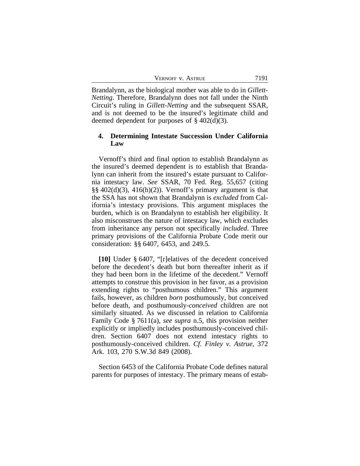Brandalynn, as the biological mother was able to do in *Gillett-Netting*. Therefore, Brandalynn does not fall under the Ninth Circuit's ruling in *Gillett-Netting* and the subsequent SSAR, and is not deemed to be the insured's legitimate child and deemed dependent for purposes of  $\S 402(d)(3)$ .

## **4. Determining Intestate Succession Under California Law**

Vernoff's third and final option to establish Brandalynn as the insured's deemed dependent is to establish that Brandalynn can inherit from the insured's estate pursuant to California intestacy law. *See* SSAR, 70 Fed. Reg. 55,657 (citing  $\S\S 402(d)(3)$ , 416(h)(2)). Vernoff's primary argument is that the SSA has not shown that Brandalynn is *excluded* from California's intestacy provisions. This argument misplaces the burden, which is on Brandalynn to establish her eligibility. It also misconstrues the nature of intestacy law, which excludes from inheritance any person not specifically *included*. Three primary provisions of the California Probate Code merit our consideration: §§ 6407, 6453, and 249.5.

**[10]** Under § 6407, "[r]elatives of the decedent conceived before the decedent's death but born thereafter inherit as if they had been born in the lifetime of the decedent." Vernoff attempts to construe this provision in her favor, as a provision extending rights to "posthumous children." This argument fails, however, as children *born* posthumously, but conceived before death, and posthumously-*conceived* children are not similarly situated. As we discussed in relation to California Family Code § 7611(a), *see supra* n.5, this provision neither explicitly or impliedly includes posthumously-conceived children. Section 6407 does not extend intestacy rights to posthumously-conceived children. *Cf. Finley v. Astrue*, 372 Ark. 103, 270 S.W.3d 849 (2008).

Section 6453 of the California Probate Code defines natural parents for purposes of intestacy. The primary means of estab-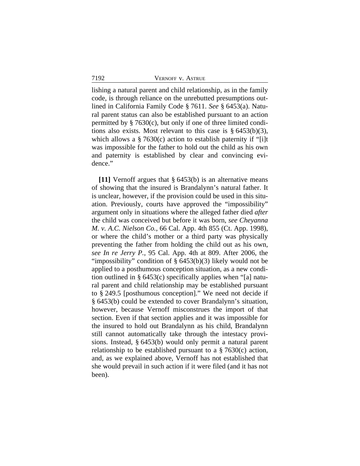lishing a natural parent and child relationship, as in the family code, is through reliance on the unrebutted presumptions outlined in California Family Code § 7611. *See* § 6453(a). Natural parent status can also be established pursuant to an action permitted by § 7630(c), but only if one of three limited conditions also exists. Most relevant to this case is  $\S$  6453(b)(3), which allows a § 7630(c) action to establish paternity if "[i]t was impossible for the father to hold out the child as his own and paternity is established by clear and convincing evidence."

**[11]** Vernoff argues that § 6453(b) is an alternative means of showing that the insured is Brandalynn's natural father. It is unclear, however, if the provision could be used in this situation. Previously, courts have approved the "impossibility" argument only in situations where the alleged father died *after* the child was conceived but before it was born, *see Cheyanna M. v. A.C. Nielson Co.*, 66 Cal. App. 4th 855 (Ct. App. 1998), or where the child's mother or a third party was physically preventing the father from holding the child out as his own, *see In re Jerry P.*, 95 Cal. App. 4th at 809. After 2006, the "impossibility" condition of § 6453(b)(3) likely would not be applied to a posthumous conception situation, as a new condition outlined in § 6453(c) specifically applies when "[a] natural parent and child relationship may be established pursuant to § 249.5 [posthumous conception]." We need not decide if § 6453(b) could be extended to cover Brandalynn's situation, however, because Vernoff misconstrues the import of that section. Even if that section applies and it was impossible for the insured to hold out Brandalynn as his child, Brandalynn still cannot automatically take through the intestacy provisions. Instead, § 6453(b) would only permit a natural parent relationship to be established pursuant to a  $\S$  7630(c) action, and, as we explained above, Vernoff has not established that she would prevail in such action if it were filed (and it has not been).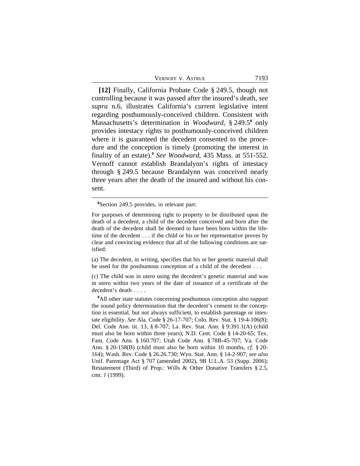| 7193<br>VERNOFF V. ASTRUE |
|---------------------------|
|---------------------------|

**[12]** Finally, California Probate Code § 249.5, though not controlling because it was passed after the insured's death, *see supra* n.6, illustrates California's current legislative intent regarding posthumously-conceived children. Consistent with Massachusetts's determination in *Woodward*, § 249.5**<sup>8</sup>** only provides intestacy rights to posthumously-conceived children where it is guaranteed the decedent consented to the procedure and the conception is timely (promoting the interest in finality of an estate).<sup>9</sup> See Woodward, 435 Mass. at 551-552. Vernoff cannot establish Brandalynn's rights of intestacy through § 249.5 because Brandalynn was conceived nearly three years after the death of the insured and without his consent.

(a) The decedent, in writing, specifies that his or her genetic material shall be used for the posthumous conception of a child of the decedent . . .

(c) The child was in utero using the decedent's genetic material and was in utero within two years of the date of issuance of a certificate of the decedent's death . . . .

**<sup>9</sup>**All other state statutes concerning posthumous conception also support the sound policy determination that the decedent's consent to the conception is essential, but not always sufficient, to establish parentage or intestate eligibility. *See* Ala. Code § 26-17-707; Colo. Rev. Stat. § 19-4-106(8); Del. Code Ann. tit. 13, § 8-707; La. Rev. Stat. Ann. § 9:391.1(A) (child must also be born within three years); N.D. Cent. Code § 14-20-65; Tex. Fam. Code Ann. § 160.707; Utah Code Ann. § 78B-45-707; Va. Code Ann. § 20-158(B) (child must also be born within 10 months, *cf.* § 20- 164); Wash. Rev. Code § 26.26.730; Wyo. Stat. Ann. § 14-2-907; *see also* Unif. Parentage Act § 707 (amended 2002), 9B U.L.A. 53 (Supp. 2006); Restatement (Third) of Prop.: Wills & Other Donative Transfers § 2.5, cmt. *l* (1999).

**<sup>8</sup>**Section 249.5 provides, in relevant part:

For purposes of determining right to property to be distributed upon the death of a decedent, a child of the decedent conceived and born after the death of the decedent shall be deemed to have been born within the lifetime of the decedent . . . if the child or his or her representative proves by clear and convincing evidence that all of the following conditions are satisfied: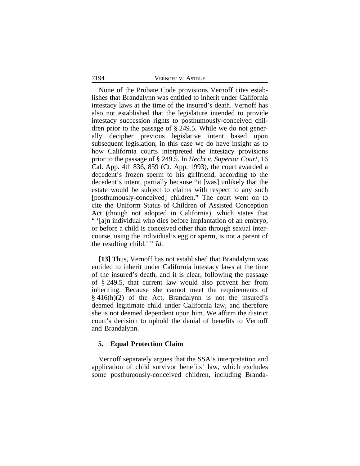None of the Probate Code provisions Vernoff cites establishes that Brandalynn was entitled to inherit under California intestacy laws at the time of the insured's death. Vernoff has also not established that the legislature intended to provide intestacy succession rights to posthumously-conceived children prior to the passage of § 249.5. While we do not generally decipher previous legislative intent based upon subsequent legislation, in this case we do have insight as to how California courts interpreted the intestacy provisions prior to the passage of § 249.5. In *Hecht v. Superior Court*, 16 Cal. App. 4th 836, 859 (Ct. App. 1993), the court awarded a decedent's frozen sperm to his girlfriend, according to the decedent's intent, partially because "it [was] unlikely that the estate would be subject to claims with respect to any such [posthumously-conceived] children." The court went on to cite the Uniform Status of Children of Assisted Conception Act (though not adopted in California), which states that " '[a]n individual who dies before implantation of an embryo, or before a child is conceived other than through sexual intercourse, using the individual's egg or sperm, is not a parent of the resulting child.' " *Id.* 

**[13]** Thus, Vernoff has not established that Brandalynn was entitled to inherit under California intestacy laws at the time of the insured's death, and it is clear, following the passage of § 249.5, that current law would also prevent her from inheriting. Because she cannot meet the requirements of § 416(h)(2) of the Act, Brandalynn is not the insured's deemed legitimate child under California law, and therefore she is not deemed dependent upon him. We affirm the district court's decision to uphold the denial of benefits to Vernoff and Brandalynn.

## **5. Equal Protection Claim**

Vernoff separately argues that the SSA's interpretation and application of child survivor benefits' law, which excludes some posthumously-conceived children, including Branda-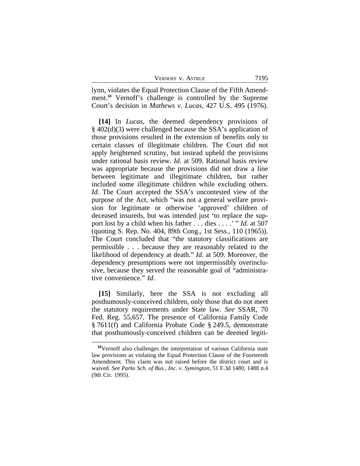| VERNOFF V. ASTRUE | 7195 |
|-------------------|------|
|                   |      |

lynn, violates the Equal Protection Clause of the Fifth Amendment.**<sup>10</sup>** Vernoff's challenge is controlled by the Supreme Court's decision in *Mathews v. Lucas*, 427 U.S. 495 (1976).

**[14]** In *Lucas*, the deemed dependency provisions of § 402(d)(3) were challenged because the SSA's application of those provisions resulted in the extension of benefits only to certain classes of illegitimate children. The Court did not apply heightened scrutiny, but instead upheld the provisions under rational basis review. *Id.* at 509. Rational basis review was appropriate because the provisions did not draw a line between legitimate and illegitimate children, but rather included some illegitimate children while excluding others. *Id.* The Court accepted the SSA's uncontested view of the purpose of the Act, which "was not a general welfare provision for legitimate or otherwise 'approved' children of deceased insureds, but was intended just 'to replace the support lost by a child when his father . . . dies . . . .' " *Id.* at 507 (quoting S. Rep. No. 404, 89th Cong., 1st Sess., 110 (1965)). The Court concluded that "the statutory classifications are permissible . . . because they are reasonably related to the likelihood of dependency at death." *Id.* at 509. Moreover, the dependency presumptions were not impermissibly overinclusive, because they served the reasonable goal of "administrative convenience." *Id.* 

**[15]** Similarly, here the SSA is not excluding all posthumously-conceived children, only those that do not meet the statutory requirements under State law. *See* SSAR, 70 Fed. Reg. 55,657. The presence of California Family Code § 7611(f) and California Probate Code § 249.5, demonstrate that posthumously-conceived children can be deemed legiti-

**<sup>10</sup>**Vernoff also challenges the interpretation of various California state law provisions as violating the Equal Protection Clause of the Fourteenth Amendment. This claim was not raised before the district court and is waived. *See Parks Sch. of Bus., Inc. v. Symington*, 51 F.3d 1480, 1488 n.4 (9th Cir. 1995).